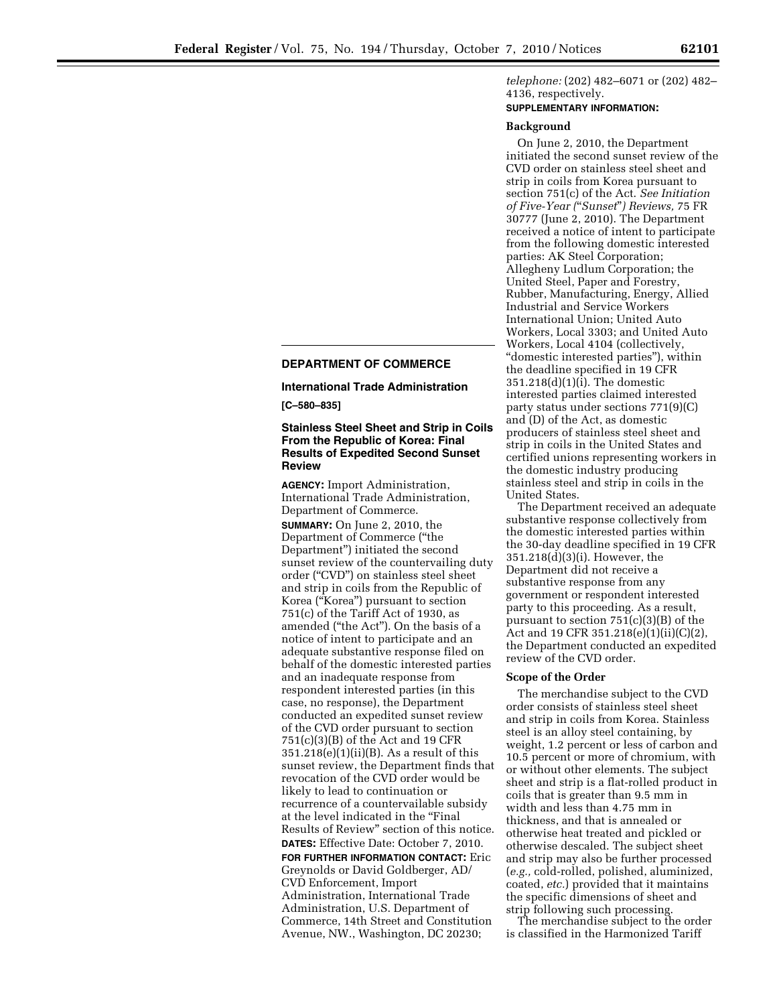# *telephone:* (202) 482–6071 or (202) 482– 4136, respectively.

# **SUPPLEMENTARY INFORMATION:**

#### **Background**

On June 2, 2010, the Department initiated the second sunset review of the CVD order on stainless steel sheet and strip in coils from Korea pursuant to section 751(c) of the Act. *See Initiation of Five-Year (*''*Sunset*''*) Reviews,* 75 FR 30777 (June 2, 2010). The Department received a notice of intent to participate from the following domestic interested parties: AK Steel Corporation; Allegheny Ludlum Corporation; the United Steel, Paper and Forestry, Rubber, Manufacturing, Energy, Allied Industrial and Service Workers International Union; United Auto Workers, Local 3303; and United Auto Workers, Local 4104 (collectively, ''domestic interested parties''), within the deadline specified in 19 CFR  $351.218(d)(1)(i)$ . The domestic interested parties claimed interested party status under sections 771(9)(C) and (D) of the Act, as domestic producers of stainless steel sheet and strip in coils in the United States and certified unions representing workers in the domestic industry producing stainless steel and strip in coils in the United States.

The Department received an adequate substantive response collectively from the domestic interested parties within the 30-day deadline specified in 19 CFR 351.218(d)(3)(i). However, the Department did not receive a substantive response from any government or respondent interested party to this proceeding. As a result, pursuant to section 751(c)(3)(B) of the Act and 19 CFR 351.218(e)(1)(ii)(C)(2), the Department conducted an expedited review of the CVD order.

#### **Scope of the Order**

The merchandise subject to the CVD order consists of stainless steel sheet and strip in coils from Korea. Stainless steel is an alloy steel containing, by weight, 1.2 percent or less of carbon and 10.5 percent or more of chromium, with or without other elements. The subject sheet and strip is a flat-rolled product in coils that is greater than 9.5 mm in width and less than 4.75 mm in thickness, and that is annealed or otherwise heat treated and pickled or otherwise descaled. The subject sheet and strip may also be further processed (*e.g.,* cold-rolled, polished, aluminized, coated, *etc.*) provided that it maintains the specific dimensions of sheet and strip following such processing.

The merchandise subject to the order is classified in the Harmonized Tariff

### **DEPARTMENT OF COMMERCE**

### **International Trade Administration**

**[C–580–835]** 

### **Stainless Steel Sheet and Strip in Coils From the Republic of Korea: Final Results of Expedited Second Sunset Review**

**AGENCY:** Import Administration, International Trade Administration, Department of Commerce. **SUMMARY:** On June 2, 2010, the Department of Commerce (''the Department'') initiated the second sunset review of the countervailing duty order (''CVD'') on stainless steel sheet and strip in coils from the Republic of Korea (''Korea'') pursuant to section 751(c) of the Tariff Act of 1930, as amended (''the Act''). On the basis of a notice of intent to participate and an adequate substantive response filed on behalf of the domestic interested parties and an inadequate response from respondent interested parties (in this case, no response), the Department conducted an expedited sunset review of the CVD order pursuant to section 751(c)(3)(B) of the Act and 19 CFR  $351.218(e)(1)(ii)(B)$ . As a result of this sunset review, the Department finds that revocation of the CVD order would be likely to lead to continuation or recurrence of a countervailable subsidy at the level indicated in the ''Final Results of Review'' section of this notice. **DATES:** Effective Date: October 7, 2010. **FOR FURTHER INFORMATION CONTACT:** Eric Greynolds or David Goldberger, AD/ CVD Enforcement, Import Administration, International Trade Administration, U.S. Department of Commerce, 14th Street and Constitution Avenue, NW., Washington, DC 20230;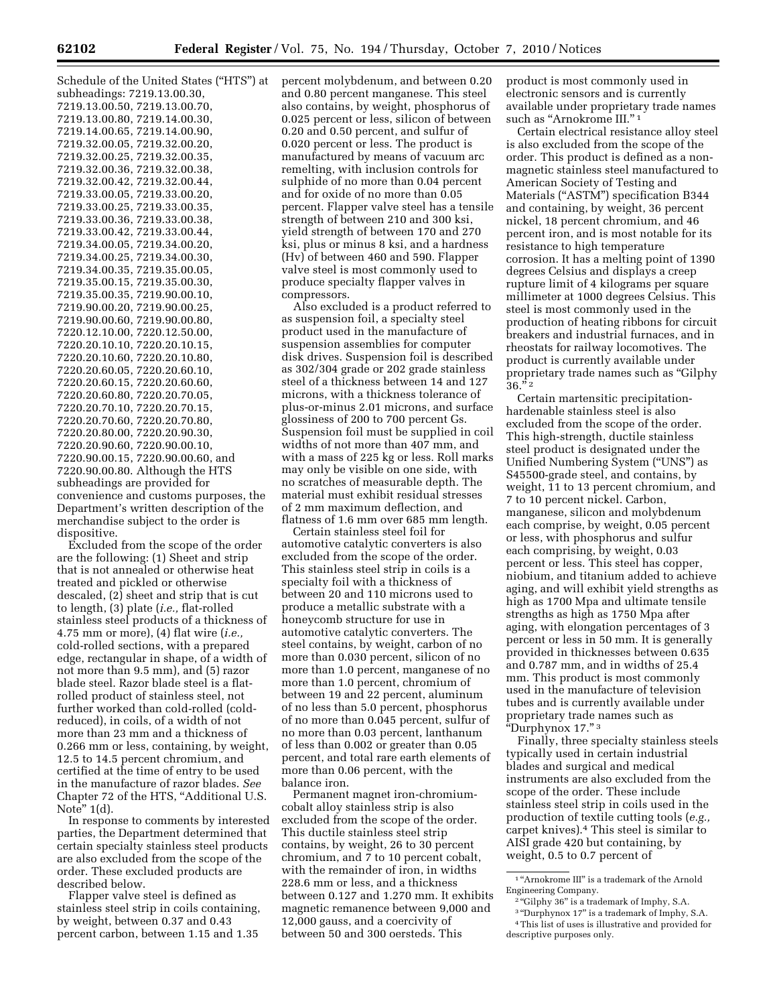Schedule of the United States (''HTS'') at subheadings: 7219.13.00.30, 7219.13.00.50, 7219.13.00.70, 7219.13.00.80, 7219.14.00.30, 7219.14.00.65, 7219.14.00.90, 7219.32.00.05, 7219.32.00.20, 7219.32.00.25, 7219.32.00.35, 7219.32.00.36, 7219.32.00.38, 7219.32.00.42, 7219.32.00.44, 7219.33.00.05, 7219.33.00.20, 7219.33.00.25, 7219.33.00.35, 7219.33.00.36, 7219.33.00.38, 7219.33.00.42, 7219.33.00.44, 7219.34.00.05, 7219.34.00.20, 7219.34.00.25, 7219.34.00.30, 7219.34.00.35, 7219.35.00.05, 7219.35.00.15, 7219.35.00.30, 7219.35.00.35, 7219.90.00.10, 7219.90.00.20, 7219.90.00.25, 7219.90.00.60, 7219.90.00.80, 7220.12.10.00, 7220.12.50.00, 7220.20.10.10, 7220.20.10.15, 7220.20.10.60, 7220.20.10.80, 7220.20.60.05, 7220.20.60.10, 7220.20.60.15, 7220.20.60.60, 7220.20.60.80, 7220.20.70.05, 7220.20.70.10, 7220.20.70.15, 7220.20.70.60, 7220.20.70.80, 7220.20.80.00, 7220.20.90.30, 7220.20.90.60, 7220.90.00.10, 7220.90.00.15, 7220.90.00.60, and 7220.90.00.80. Although the HTS subheadings are provided for convenience and customs purposes, the Department's written description of the merchandise subject to the order is dispositive.

Excluded from the scope of the order are the following: (1) Sheet and strip that is not annealed or otherwise heat treated and pickled or otherwise descaled, (2) sheet and strip that is cut to length, (3) plate (*i.e.,* flat-rolled stainless steel products of a thickness of 4.75 mm or more), (4) flat wire (*i.e.,*  cold-rolled sections, with a prepared edge, rectangular in shape, of a width of not more than 9.5 mm), and (5) razor blade steel. Razor blade steel is a flatrolled product of stainless steel, not further worked than cold-rolled (coldreduced), in coils, of a width of not more than 23 mm and a thickness of 0.266 mm or less, containing, by weight, 12.5 to 14.5 percent chromium, and certified at the time of entry to be used in the manufacture of razor blades. *See*  Chapter 72 of the HTS, ''Additional U.S. Note'' 1(d).

In response to comments by interested parties, the Department determined that certain specialty stainless steel products are also excluded from the scope of the order. These excluded products are described below.

Flapper valve steel is defined as stainless steel strip in coils containing, by weight, between 0.37 and 0.43 percent carbon, between 1.15 and 1.35

percent molybdenum, and between 0.20 and 0.80 percent manganese. This steel also contains, by weight, phosphorus of 0.025 percent or less, silicon of between 0.20 and 0.50 percent, and sulfur of 0.020 percent or less. The product is manufactured by means of vacuum arc remelting, with inclusion controls for sulphide of no more than 0.04 percent and for oxide of no more than 0.05 percent. Flapper valve steel has a tensile strength of between 210 and 300 ksi, yield strength of between 170 and 270 ksi, plus or minus 8 ksi, and a hardness (Hv) of between 460 and 590. Flapper valve steel is most commonly used to produce specialty flapper valves in compressors.

Also excluded is a product referred to as suspension foil, a specialty steel product used in the manufacture of suspension assemblies for computer disk drives. Suspension foil is described as 302/304 grade or 202 grade stainless steel of a thickness between 14 and 127 microns, with a thickness tolerance of plus-or-minus 2.01 microns, and surface glossiness of 200 to 700 percent Gs. Suspension foil must be supplied in coil widths of not more than 407 mm, and with a mass of 225 kg or less. Roll marks may only be visible on one side, with no scratches of measurable depth. The material must exhibit residual stresses of 2 mm maximum deflection, and flatness of 1.6 mm over 685 mm length.

Certain stainless steel foil for automotive catalytic converters is also excluded from the scope of the order. This stainless steel strip in coils is a specialty foil with a thickness of between 20 and 110 microns used to produce a metallic substrate with a honeycomb structure for use in automotive catalytic converters. The steel contains, by weight, carbon of no more than 0.030 percent, silicon of no more than 1.0 percent, manganese of no more than 1.0 percent, chromium of between 19 and 22 percent, aluminum of no less than 5.0 percent, phosphorus of no more than 0.045 percent, sulfur of no more than 0.03 percent, lanthanum of less than 0.002 or greater than 0.05 percent, and total rare earth elements of more than 0.06 percent, with the balance iron.

Permanent magnet iron-chromiumcobalt alloy stainless strip is also excluded from the scope of the order. This ductile stainless steel strip contains, by weight, 26 to 30 percent chromium, and 7 to 10 percent cobalt, with the remainder of iron, in widths 228.6 mm or less, and a thickness between 0.127 and 1.270 mm. It exhibits magnetic remanence between 9,000 and 12,000 gauss, and a coercivity of between 50 and 300 oersteds. This

product is most commonly used in electronic sensors and is currently available under proprietary trade names such as "Arnokrome III."<sup>1</sup>

Certain electrical resistance alloy steel is also excluded from the scope of the order. This product is defined as a nonmagnetic stainless steel manufactured to American Society of Testing and Materials (''ASTM'') specification B344 and containing, by weight, 36 percent nickel, 18 percent chromium, and 46 percent iron, and is most notable for its resistance to high temperature corrosion. It has a melting point of 1390 degrees Celsius and displays a creep rupture limit of 4 kilograms per square millimeter at 1000 degrees Celsius. This steel is most commonly used in the production of heating ribbons for circuit breakers and industrial furnaces, and in rheostats for railway locomotives. The product is currently available under proprietary trade names such as ''Gilphy  $36.^{52}$ 

Certain martensitic precipitationhardenable stainless steel is also excluded from the scope of the order. This high-strength, ductile stainless steel product is designated under the Unified Numbering System (''UNS'') as S45500-grade steel, and contains, by weight, 11 to 13 percent chromium, and 7 to 10 percent nickel. Carbon, manganese, silicon and molybdenum each comprise, by weight, 0.05 percent or less, with phosphorus and sulfur each comprising, by weight, 0.03 percent or less. This steel has copper, niobium, and titanium added to achieve aging, and will exhibit yield strengths as high as 1700 Mpa and ultimate tensile strengths as high as 1750 Mpa after aging, with elongation percentages of 3 percent or less in 50 mm. It is generally provided in thicknesses between 0.635 and 0.787 mm, and in widths of 25.4 mm. This product is most commonly used in the manufacture of television tubes and is currently available under proprietary trade names such as ''Durphynox 17.'' 3

Finally, three specialty stainless steels typically used in certain industrial blades and surgical and medical instruments are also excluded from the scope of the order. These include stainless steel strip in coils used in the production of textile cutting tools (*e.g.,*  carpet knives).4 This steel is similar to AISI grade 420 but containing, by weight, 0.5 to 0.7 percent of

 $^{\rm 1\textsc{''}}$  Arnokrome III" is a trademark of the Arnold Engineering Company.

<sup>&</sup>lt;sup>2</sup>"Gilphy 36" is a trademark of Imphy, S.A.

<sup>3</sup> ''Durphynox 17'' is a trademark of Imphy, S.A. 4This list of uses is illustrative and provided for descriptive purposes only.